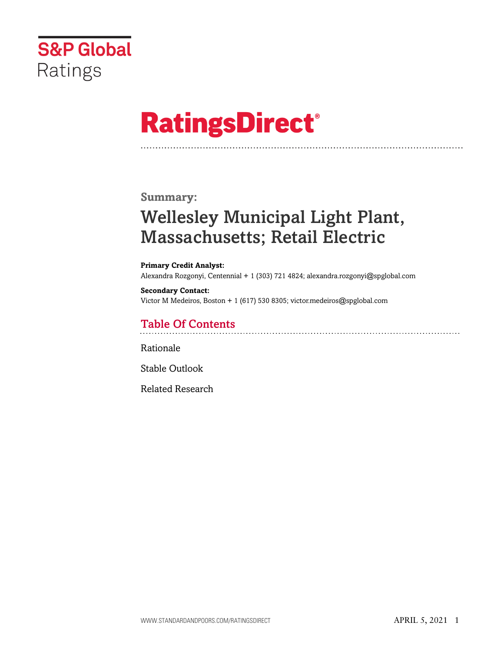

# **RatingsDirect®**

### **Summary:**

# Wellesley Municipal Light Plant, Massachusetts; Retail Electric

#### **Primary Credit Analyst:** Alexandra Rozgonyi, Centennial + 1 (303) 721 4824; alexandra.rozgonyi@spglobal.com

#### **Secondary Contact:** Victor M Medeiros, Boston + 1 (617) 530 8305; victor.medeiros@spglobal.com

## Table Of Contents

### [Rationale](#page-1-0)

[Stable Outlook](#page-3-0)

[Related Research](#page-3-1)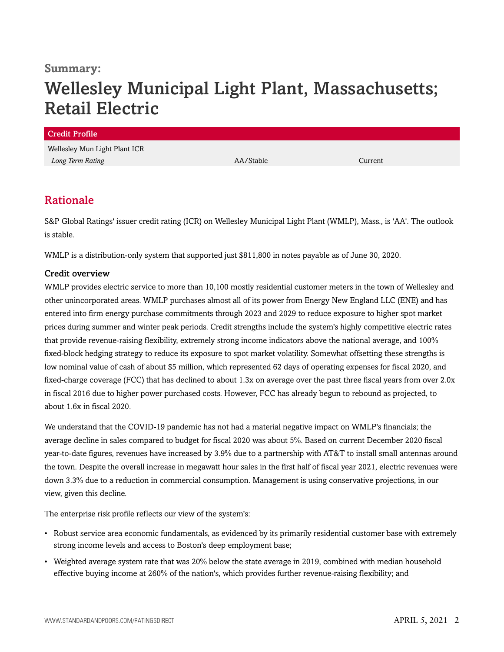### **Summary:**

# Wellesley Municipal Light Plant, Massachusetts; Retail Electric

| <b>Credit Profile</b>         |           |         |
|-------------------------------|-----------|---------|
| Wellesley Mun Light Plant ICR |           |         |
| Long Term Rating              | AA/Stable | Current |
|                               |           |         |

### <span id="page-1-0"></span>Rationale

S&P Global Ratings' issuer credit rating (ICR) on Wellesley Municipal Light Plant (WMLP), Mass., is 'AA'. The outlook is stable.

WMLP is a distribution-only system that supported just \$811,800 in notes payable as of June 30, 2020.

### Credit overview

WMLP provides electric service to more than 10,100 mostly residential customer meters in the town of Wellesley and other unincorporated areas. WMLP purchases almost all of its power from Energy New England LLC (ENE) and has entered into firm energy purchase commitments through 2023 and 2029 to reduce exposure to higher spot market prices during summer and winter peak periods. Credit strengths include the system's highly competitive electric rates that provide revenue-raising flexibility, extremely strong income indicators above the national average, and 100% fixed-block hedging strategy to reduce its exposure to spot market volatility. Somewhat offsetting these strengths is low nominal value of cash of about \$5 million, which represented 62 days of operating expenses for fiscal 2020, and fixed-charge coverage (FCC) that has declined to about 1.3x on average over the past three fiscal years from over 2.0x in fiscal 2016 due to higher power purchased costs. However, FCC has already begun to rebound as projected, to about 1.6x in fiscal 2020.

We understand that the COVID-19 pandemic has not had a material negative impact on WMLP's financials; the average decline in sales compared to budget for fiscal 2020 was about 5%. Based on current December 2020 fiscal year-to-date figures, revenues have increased by 3.9% due to a partnership with AT&T to install small antennas around the town. Despite the overall increase in megawatt hour sales in the first half of fiscal year 2021, electric revenues were down 3.3% due to a reduction in commercial consumption. Management is using conservative projections, in our view, given this decline.

The enterprise risk profile reflects our view of the system's:

- Robust service area economic fundamentals, as evidenced by its primarily residential customer base with extremely strong income levels and access to Boston's deep employment base;
- Weighted average system rate that was 20% below the state average in 2019, combined with median household effective buying income at 260% of the nation's, which provides further revenue-raising flexibility; and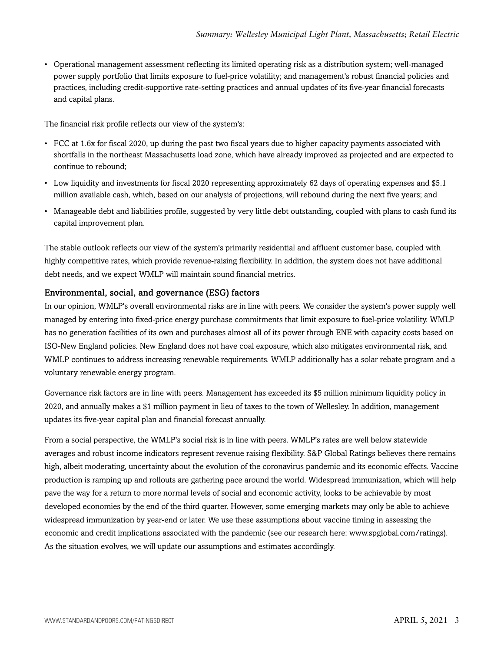• Operational management assessment reflecting its limited operating risk as a distribution system; well-managed power supply portfolio that limits exposure to fuel-price volatility; and management's robust financial policies and practices, including credit-supportive rate-setting practices and annual updates of its five-year financial forecasts and capital plans.

The financial risk profile reflects our view of the system's:

- FCC at 1.6x for fiscal 2020, up during the past two fiscal years due to higher capacity payments associated with shortfalls in the northeast Massachusetts load zone, which have already improved as projected and are expected to continue to rebound;
- Low liquidity and investments for fiscal 2020 representing approximately 62 days of operating expenses and \$5.1 million available cash, which, based on our analysis of projections, will rebound during the next five years; and
- Manageable debt and liabilities profile, suggested by very little debt outstanding, coupled with plans to cash fund its capital improvement plan.

The stable outlook reflects our view of the system's primarily residential and affluent customer base, coupled with highly competitive rates, which provide revenue-raising flexibility. In addition, the system does not have additional debt needs, and we expect WMLP will maintain sound financial metrics.

### Environmental, social, and governance (ESG) factors

In our opinion, WMLP's overall environmental risks are in line with peers. We consider the system's power supply well managed by entering into fixed-price energy purchase commitments that limit exposure to fuel-price volatility. WMLP has no generation facilities of its own and purchases almost all of its power through ENE with capacity costs based on ISO-New England policies. New England does not have coal exposure, which also mitigates environmental risk, and WMLP continues to address increasing renewable requirements. WMLP additionally has a solar rebate program and a voluntary renewable energy program.

Governance risk factors are in line with peers. Management has exceeded its \$5 million minimum liquidity policy in 2020, and annually makes a \$1 million payment in lieu of taxes to the town of Wellesley. In addition, management updates its five-year capital plan and financial forecast annually.

From a social perspective, the WMLP's social risk is in line with peers. WMLP's rates are well below statewide averages and robust income indicators represent revenue raising flexibility. S&P Global Ratings believes there remains high, albeit moderating, uncertainty about the evolution of the coronavirus pandemic and its economic effects. Vaccine production is ramping up and rollouts are gathering pace around the world. Widespread immunization, which will help pave the way for a return to more normal levels of social and economic activity, looks to be achievable by most developed economies by the end of the third quarter. However, some emerging markets may only be able to achieve widespread immunization by year-end or later. We use these assumptions about vaccine timing in assessing the economic and credit implications associated with the pandemic (see our research here: www.spglobal.com/ratings). As the situation evolves, we will update our assumptions and estimates accordingly.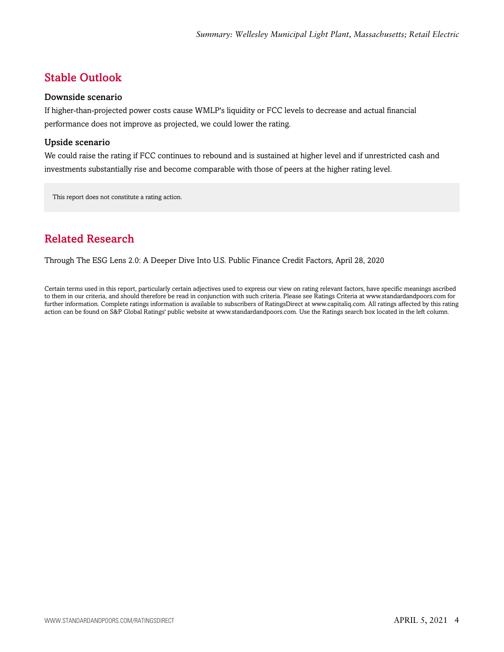# <span id="page-3-0"></span>Stable Outlook

### Downside scenario

If higher-than-projected power costs cause WMLP's liquidity or FCC levels to decrease and actual financial performance does not improve as projected, we could lower the rating.

### Upside scenario

We could raise the rating if FCC continues to rebound and is sustained at higher level and if unrestricted cash and investments substantially rise and become comparable with those of peers at the higher rating level.

This report does not constitute a rating action.

# <span id="page-3-1"></span>Related Research

Through The ESG Lens 2.0: A Deeper Dive Into U.S. Public Finance Credit Factors, April 28, 2020

Certain terms used in this report, particularly certain adjectives used to express our view on rating relevant factors, have specific meanings ascribed to them in our criteria, and should therefore be read in conjunction with such criteria. Please see Ratings Criteria at www.standardandpoors.com for further information. Complete ratings information is available to subscribers of RatingsDirect at www.capitaliq.com. All ratings affected by this rating action can be found on S&P Global Ratings' public website at www.standardandpoors.com. Use the Ratings search box located in the left column.